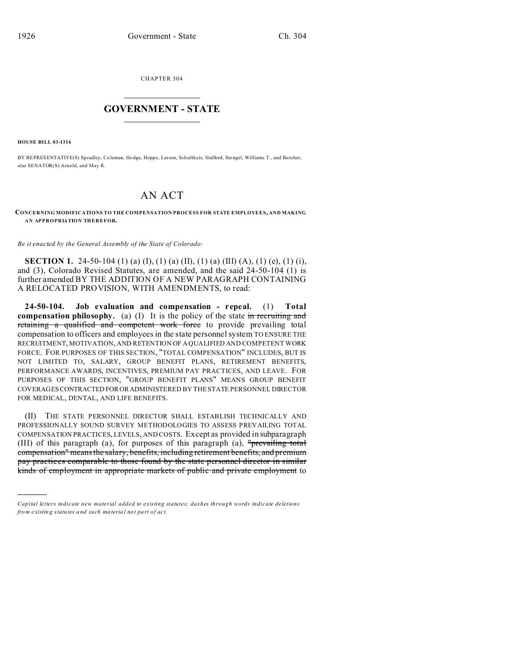CHAPTER 304  $\overline{\phantom{a}}$  , where  $\overline{\phantom{a}}$ 

## **GOVERNMENT - STATE**  $\_$   $\_$

**HOUSE BILL 03-1316**

)))))

BY REPRESENTATIVE(S) Sp radley, Coleman, Hodge, Hoppe, Larson, Sch ultheis, Stafford, Stengel, Williams T., and Butcher; also SENATOR(S) Arnold, and May R.

## AN ACT

## **CONCERNING MODIFICATIONS TO THE COMPENSATION PROCESS FOR STATE EMPLOYEES, AND MAKING AN APPROPRIATION THEREFOR.**

*Be it enacted by the General Assembly of the State of Colorado:*

**SECTION 1.** 24-50-104 (1) (a) (I), (1) (a) (II), (1) (a) (III) (A), (1) (e), (1) (i), and (3), Colorado Revised Statutes, are amended, and the said 24-50-104 (1) is further amended BY THE ADDITION OF A NEW PARAGRAPH CONTAINING A RELOCATED PROVISION, WITH AMENDMENTS, to read:

**24-50-104. Job evaluation and compensation - repeal.** (1) **Total compensation philosophy.** (a) (I) It is the policy of the state in recruiting and retaining a qualified and competent work force to provide prevailing total compensation to officers and employees in the state personnel system TO ENSURE THE RECRUITMENT, MOTIVATION, AND RETENTION OF A QUALIFIED AND COMPETENT WORK FORCE. FOR PURPOSES OF THIS SECTION, "TOTAL COMPENSATION" INCLUDES, BUT IS NOT LIMITED TO, SALARY, GROUP BENEFIT PLANS, RETIREMENT BENEFITS, PERFORMANCE AWARDS, INCENTIVES, PREMIUM PAY PRACTICES, AND LEAVE. FOR PURPOSES OF THIS SECTION, "GROUP BENEFIT PLANS" MEANS GROUP BENEFIT COVERAGESCONTRACTEDFOROR ADMINISTERED BY THE STATE PERSONNEL DIRECTOR FOR MEDICAL, DENTAL, AND LIFE BENEFITS.

(II) THE STATE PERSONNEL DIRECTOR SHALL ESTABLISH TECHNICALLY AND PROFESSIONALLY SOUND SURVEY METHODOLOGIES TO ASSESS PREVAILING TOTAL COMPENSATION PRACTICES, LEVELS, AND COSTS. Except as provided in subparagraph (III) of this paragraph (a), for purposes of this paragraph (a), "prevailing total compensation" means the salary, benefits, including retirement benefits, and premium pay practices comparable to those found by the state personnel director in similar kinds of employment in appropriate markets of public and private employment to

*Capital letters indicate new material added to existing statutes; dashes through words indicate deletions from e xistin g statu tes a nd such ma teria l no t pa rt of ac t.*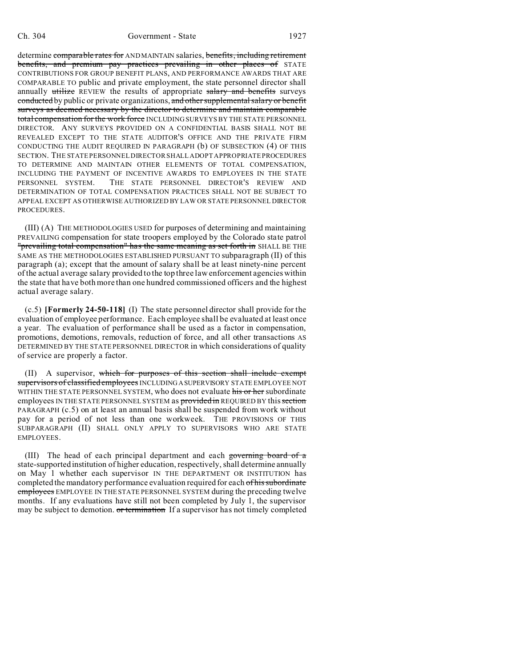determine comparable rates for AND MAINTAIN salaries, benefits, including retirement benefits, and premium pay practices prevailing in other places of STATE CONTRIBUTIONS FOR GROUP BENEFIT PLANS, AND PERFORMANCE AWARDS THAT ARE COMPARABLE TO public and private employment, the state personnel director shall annually utilize REVIEW the results of appropriate salary and benefits surveys conducted by public or private organizations, and other supplemental salary or benefit surveys as deemed necessary by the director to determine and maintain comparable total compensation for the work force INCLUDING SURVEYS BY THE STATE PERSONNEL DIRECTOR. ANY SURVEYS PROVIDED ON A CONFIDENTIAL BASIS SHALL NOT BE REVEALED EXCEPT TO THE STATE AUDITOR'S OFFICE AND THE PRIVATE FIRM CONDUCTING THE AUDIT REQUIRED IN PARAGRAPH (b) OF SUBSECTION (4) OF THIS SECTION. THE STATE PERSONNEL DIRECTOR SHALL ADOPT APPROPRIATE PROCEDURES TO DETERMINE AND MAINTAIN OTHER ELEMENTS OF TOTAL COMPENSATION, INCLUDING THE PAYMENT OF INCENTIVE AWARDS TO EMPLOYEES IN THE STATE PERSONNEL SYSTEM. THE STATE PERSONNEL DIRECTOR'S REVIEW AND DETERMINATION OF TOTAL COMPENSATION PRACTICES SHALL NOT BE SUBJECT TO APPEAL EXCEPT AS OTHERWISE AUTHORIZED BY LAW OR STATE PERSONNEL DIRECTOR **PROCEDURES** 

(III) (A) THE METHODOLOGIES USED for purposes of determining and maintaining PREVAILING compensation for state troopers employed by the Colorado state patrol "prevailing total compensation" has the same meaning as set forth in SHALL BE THE SAME AS THE METHODOLOGIES ESTABLISHED PURSUANT TO subparagraph (II) of this paragraph (a); except that the amount of salary shall be at least ninety-nine percent of the actual average salary provided to the top three law enforcement agencies within the state that have both more than one hundred commissioned officers and the highest actual average salary.

(c.5) **[Formerly 24-50-118]** (I) The state personnel director shall provide for the evaluation of employee performance. Each employee shall be evaluated at least once a year. The evaluation of performance shall be used as a factor in compensation, promotions, demotions, removals, reduction of force, and all other transactions AS DETERMINED BY THE STATE PERSONNEL DIRECTOR in which considerations of quality of service are properly a factor.

(II) A supervisor, which for purposes of this section shall include exempt supervisors of classified employees INCLUDING A SUPERVISORY STATE EMPLOYEE NOT WITHIN THE STATE PERSONNEL SYSTEM, who does not evaluate his or her subordinate employees IN THE STATE PERSONNEL SYSTEM as provided in REQUIRED BY this section PARAGRAPH (c.5) on at least an annual basis shall be suspended from work without pay for a period of not less than one workweek. THE PROVISIONS OF THIS SUBPARAGRAPH (II) SHALL ONLY APPLY TO SUPERVISORS WHO ARE STATE EMPLOYEES.

(III) The head of each principal department and each governing board of a state-supported institution of higher education, respectively, shall determine annually on May 1 whether each supervisor IN THE DEPARTMENT OR INSTITUTION has completed the mandatory performance evaluation required for each of his subordinate employees EMPLOYEE IN THE STATE PERSONNEL SYSTEM during the preceding twelve months. If any evaluations have still not been completed by July 1, the supervisor may be subject to demotion. or termination If a supervisor has not timely completed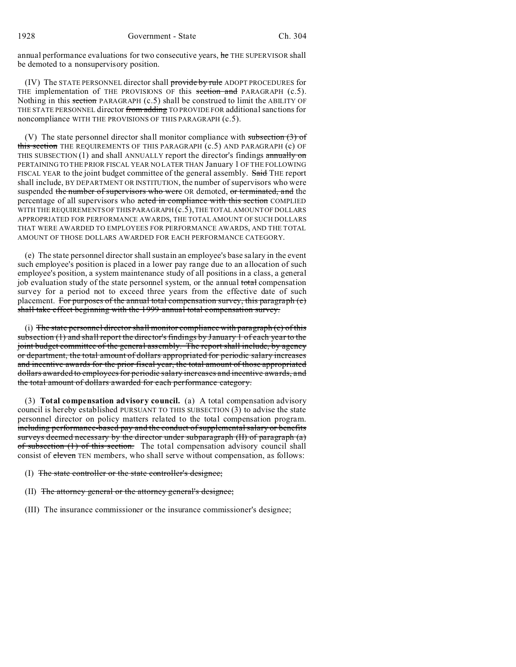annual performance evaluations for two consecutive years, he THE SUPERVISOR shall be demoted to a nonsupervisory position.

(IV) The STATE PERSONNEL director shall provide by rule ADOPT PROCEDURES for THE implementation of THE PROVISIONS OF this section and PARAGRAPH (c.5). Nothing in this section PARAGRAPH (c.5) shall be construed to limit the ABILITY OF THE STATE PERSONNEL director from adding TO PROVIDE FOR additional sanctions for noncompliance WITH THE PROVISIONS OF THIS PARAGRAPH (c.5).

(V) The state personnel director shall monitor compliance with subsection  $(3)$  of this section THE REQUIREMENTS OF THIS PARAGRAPH (c.5) AND PARAGRAPH (c) OF THIS SUBSECTION  $(1)$  and shall ANNUALLY report the director's findings annually on PERTAINING TO THE PRIOR FISCAL YEAR NO LATER THAN January 1 OF THE FOLLOWING FISCAL YEAR to the joint budget committee of the general assembly. Said THE report shall include, BY DEPARTMENT OR INSTITUTION, the number of supervisors who were suspended the number of supervisors who were OR demoted, or terminated, and the percentage of all supervisors who acted in compliance with this section COMPLIED WITH THE REQUIREMENTS OF THIS PARAGRAPH (c.5), THE TOTAL AMOUNT OF DOLLARS APPROPRIATED FOR PERFORMANCE AWARDS, THE TOTAL AMOUNT OF SUCH DOLLARS THAT WERE AWARDED TO EMPLOYEES FOR PERFORMANCE AWARDS, AND THE TOTAL AMOUNT OF THOSE DOLLARS AWARDED FOR EACH PERFORMANCE CATEGORY.

(e) The state personnel director shall sustain an employee's base salary in the event such employee's position is placed in a lower pay range due to an allocation of such employee's position, a system maintenance study of all positions in a class, a general job evaluation study of the state personnel system, or the annual total compensation survey for a period not to exceed three years from the effective date of such placement. For purposes of the annual total compensation survey, this paragraph (e) shall take effect beginning with the 1999 annual total compensation survey.

(i) The state personnel director shall monitor compliance with paragraph  $(c)$  of this subsection (1) and shall report the director's findings by January 1 of each year to the joint budget committee of the general assembly. The report shall include, by agency or department, the total amount of dollars appropriated for periodic salary increases and incentive awards for the prior fiscal year, the total amount of those appropriated dollars awarded to employees for periodic salary increases and incentive awards, and the total amount of dollars awarded for each performance category.

(3) **Total compensation advisory council.** (a) A total compensation advisory council is hereby established PURSUANT TO THIS SUBSECTION (3) to advise the state personnel director on policy matters related to the total compensation program. including performance-based pay and the conduct of supplemental salary or benefits surveys deemed necessary by the director under subparagraph (II) of paragraph (a) of subsection (1) of this section. The total compensation advisory council shall consist of eleven TEN members, who shall serve without compensation, as follows:

- (I) The state controller or the state controller's designee;
- (II) The attorney general or the attorney general's designee;
- (III) The insurance commissioner or the insurance commissioner's designee;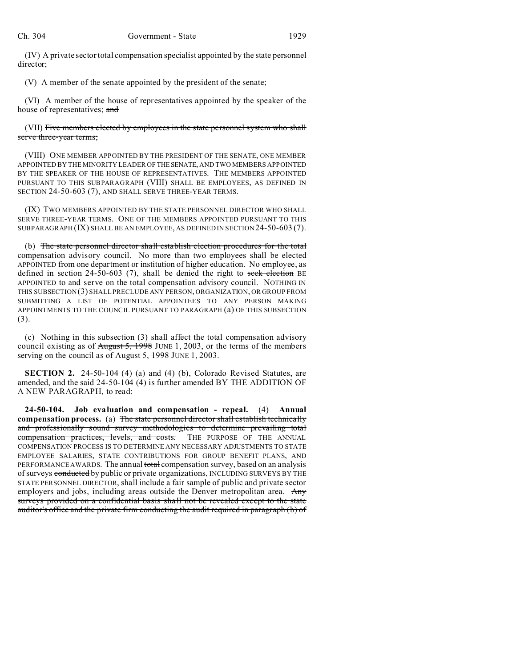(IV) A private sector total compensation specialist appointed by the state personnel director;

(V) A member of the senate appointed by the president of the senate;

(VI) A member of the house of representatives appointed by the speaker of the house of representatives; and

(VII) Five members elected by employees in the state personnel system who shall serve three-year terms;

(VIII) ONE MEMBER APPOINTED BY THE PRESIDENT OF THE SENATE, ONE MEMBER APPOINTED BY THE MINORITY LEADER OF THESENATE, AND TWO MEMBERS APPOINTED BY THE SPEAKER OF THE HOUSE OF REPRESENTATIVES. THE MEMBERS APPOINTED PURSUANT TO THIS SUBPARAGRAPH (VIII) SHALL BE EMPLOYEES, AS DEFINED IN SECTION 24-50-603 (7), AND SHALL SERVE THREE-YEAR TERMS.

(IX) TWO MEMBERS APPOINTED BY THE STATE PERSONNEL DIRECTOR WHO SHALL SERVE THREE-YEAR TERMS. ONE OF THE MEMBERS APPOINTED PURSUANT TO THIS SUBPARAGRAPH (IX) SHALL BE AN EMPLOYEE, AS DEFINED IN SECTION 24-50-603 (7).

(b) The state personnel director shall establish election procedures for the total compensation advisory council. No more than two employees shall be elected APPOINTED from one department or institution of higher education. No employee, as defined in section 24-50-603 (7), shall be denied the right to seek election BE APPOINTED to and serve on the total compensation advisory council. NOTHING IN THIS SUBSECTION (3) SHALL PRECLUDE ANY PERSON, ORGANIZATION, OR GROUP FROM SUBMITTING A LIST OF POTENTIAL APPOINTEES TO ANY PERSON MAKING APPOINTMENTS TO THE COUNCIL PURSUANT TO PARAGRAPH (a) OF THIS SUBSECTION (3).

(c) Nothing in this subsection (3) shall affect the total compensation advisory council existing as of August 5, 1998 JUNE 1, 2003, or the terms of the members serving on the council as of August 5, 1998 JUNE 1, 2003.

**SECTION 2.** 24-50-104 (4) (a) and (4) (b), Colorado Revised Statutes, are amended, and the said 24-50-104 (4) is further amended BY THE ADDITION OF A NEW PARAGRAPH, to read:

**24-50-104. Job evaluation and compensation - repeal.** (4) **Annual compensation process.** (a) The state personnel director shall establish technically and professionally sound survey methodologies to determine prevailing total compensation practices, levels, and costs. THE PURPOSE OF THE ANNUAL COMPENSATION PROCESS IS TO DETERMINE ANY NECESSARY ADJUSTMENTS TO STATE EMPLOYEE SALARIES, STATE CONTRIBUTIONS FOR GROUP BENEFIT PLANS, AND PERFORMANCE AWARDS. The annual total compensation survey, based on an analysis of surveys conducted by public or private organizations, INCLUDING SURVEYS BY THE STATE PERSONNEL DIRECTOR, shall include a fair sample of public and private sector employers and jobs, including areas outside the Denver metropolitan area. Any surveys provided on a confidential basis shall not be revealed except to the state auditor's office and the private firm conducting the audit required in paragraph (b) of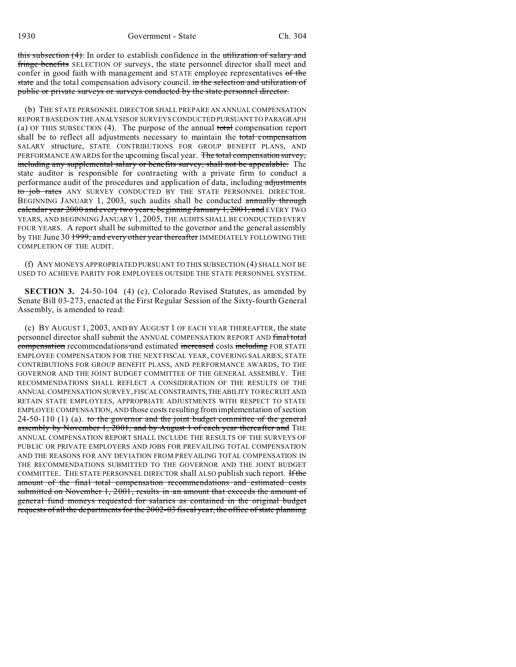this subsection  $(4)$ . In order to establish confidence in the utilization of salary and fringe benefits SELECTION OF surveys, the state personnel director shall meet and confer in good faith with management and STATE employee representatives of the state and the total compensation advisory council. in the selection and utilization of public or private surveys or surveys conducted by the state personnel director.

(b) THE STATE PERSONNEL DIRECTOR SHALL PREPARE AN ANNUAL COMPENSATION REPORT BASED ON THE ANALYSIS OF SURVEYS CONDUCTED PURSUANT TO PARAGRAPH (a) OF THIS SUBSECTION (4). The purpose of the annual total compensation report shall be to reflect all adjustments necessary to maintain the total compensation SALARY structure, STATE CONTRIBUTIONS FOR GROUP BENEFIT PLANS, AND PERFORMANCE AWARDS for the upcoming fiscal year. The total compensation survey, including any supplemental salary or benefits survey, shall not be appealable. The state auditor is responsible for contracting with a private firm to conduct a performance audit of the procedures and application of data, including adjustments to job rates ANY SURVEY CONDUCTED BY THE STATE PERSONNEL DIRECTOR. BEGINNING JANUARY 1, 2003, such audits shall be conducted annually through calendar year 2000 and every two years, beginning January 1, 2001, and EVERY TWO YEARS, AND BEGINNING JANUARY 1, 2005, THE AUDITS SHALL BE CONDUCTED EVERY FOUR YEARS. A report shall be submitted to the governor and the general assembly by THE June 30 1999, and every other year thereafter IMMEDIATELY FOLLOWING THE COMPLETION OF THE AUDIT.

(f) ANY MONEYS APPROPRIATED PURSUANT TO THIS SUBSECTION (4) SHALL NOT BE USED TO ACHIEVE PARITY FOR EMPLOYEES OUTSIDE THE STATE PERSONNEL SYSTEM.

**SECTION 3.** 24-50-104 (4) (c), Colorado Revised Statutes, as amended by Senate Bill 03-273, enacted at the First Regular Session of the Sixty-fourth General Assembly, is amended to read:

(c) BY AUGUST 1, 2003, AND BY AUGUST 1 OF EACH YEAR THEREAFTER, the state personnel director shall submit the ANNUAL COMPENSATION REPORT AND final total compensation recommendations and estimated increased costs including FOR STATE EMPLOYEE COMPENSATION FOR THE NEXT FISCAL YEAR, COVERING SALARIES, STATE CONTRIBUTIONS FOR GROUP BENEFIT PLANS, AND PERFORMANCE AWARDS, TO THE GOVERNOR AND THE JOINT BUDGET COMMITTEE OF THE GENERAL ASSEMBLY. THE RECOMMENDATIONS SHALL REFLECT A CONSIDERATION OF THE RESULTS OF THE ANNUAL COMPENSATION SURVEY, FISCAL CONSTRAINTS,THEABILITY TO RECRUIT AND RETAIN STATE EMPLOYEES, APPROPRIATE ADJUSTMENTS WITH RESPECT TO STATE EMPLOYEE COMPENSATION, AND those costs resulting from implementation of section  $24-50-110$  (1) (a). to the governor and the joint budget committee of the general assembly by November 1, 2001, and by August 1 of each year thereafter and THE ANNUAL COMPENSATION REPORT SHALL INCLUDE THE RESULTS OF THE SURVEYS OF PUBLIC OR PRIVATE EMPLOYERS AND JOBS FOR PREVAILING TOTAL COMPENSATION AND THE REASONS FOR ANY DEVIATION FROM PREVAILING TOTAL COMPENSATION IN THE RECOMMENDATIONS SUBMITTED TO THE GOVERNOR AND THE JOINT BUDGET COMMITTEE. THE STATE PERSONNEL DIRECTOR shall ALSO publish such report. Hthe amount of the final total compensation recommendations and estimated costs submitted on November 1, 2001, results in an amount that exceeds the amount of general fund moneys requested for salaries as contained in the original budget requests of all the departments for the 2002-03 fiscal year, the office of state planning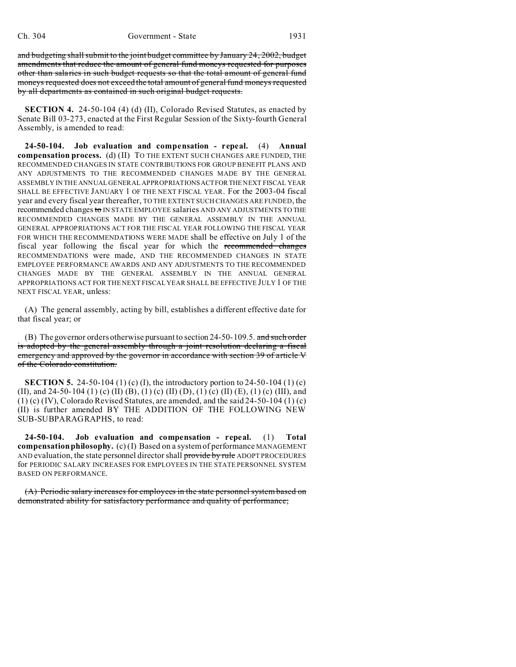and budgeting shall submit to the joint budget committee by January 24, 2002, budget amendments that reduce the amount of general fund moneys requested for purposes other than salaries in such budget requests so that the total amount of general fund moneys requested does not exceed the total amount of general fund moneys requested by all departments as contained in such original budget requests.

**SECTION 4.** 24-50-104 (4) (d) (II), Colorado Revised Statutes, as enacted by Senate Bill 03-273, enacted at the First Regular Session of the Sixty-fourth General Assembly, is amended to read:

**24-50-104. Job evaluation and compensation - repeal.** (4) **Annual compensation process.** (d) (II) TO THE EXTENT SUCH CHANGES ARE FUNDED, THE RECOMMENDED CHANGES IN STATE CONTRIBUTIONS FOR GROUP BENEFIT PLANS AND ANY ADJUSTMENTS TO THE RECOMMENDED CHANGES MADE BY THE GENERAL ASSEMBLY IN THE ANNUAL GENERAL APPROPRIATIONSACTFORTHE NEXT FISCAL YEAR SHALL BE EFFECTIVE JANUARY 1 OF THE NEXT FISCAL YEAR. For the 2003-04 fiscal year and every fiscal year thereafter, TO THE EXTENT SUCH CHANGES ARE FUNDED, the recommended changes to IN STATE EMPLOYEE salaries AND ANY ADJUSTMENTS TO THE RECOMMENDED CHANGES MADE BY THE GENERAL ASSEMBLY IN THE ANNUAL GENERAL APPROPRIATIONS ACT FOR THE FISCAL YEAR FOLLOWING THE FISCAL YEAR FOR WHICH THE RECOMMENDATIONS WERE MADE shall be effective on July 1 of the fiscal year following the fiscal year for which the recommended changes RECOMMENDATIONS were made, AND THE RECOMMENDED CHANGES IN STATE EMPLOYEE PERFORMANCE AWARDS AND ANY ADJUSTMENTS TO THE RECOMMENDED CHANGES MADE BY THE GENERAL ASSEMBLY IN THE ANNUAL GENERAL APPROPRIATIONS ACT FOR THE NEXT FISCAL YEAR SHALL BE EFFECTIVE JULY 1 OF THE NEXT FISCAL YEAR, unless:

(A) The general assembly, acting by bill, establishes a different effective date for that fiscal year; or

(B) The governor orders otherwise pursuant to section 24-50-109.5. and such order is adopted by the general assembly through a joint resolution declaring a fiscal emergency and approved by the governor in accordance with section 39 of article V of the Colorado constitution.

**SECTION 5.** 24-50-104 (1) (c) (I), the introductory portion to 24-50-104 (1) (c) (II), and 24-50-104 (1) (c) (II) (B), (1) (c) (II) (D), (1) (c) (II) (E), (1) (c) (III), and  $(1)$  (c) (IV), Colorado Revised Statutes, are amended, and the said 24-50-104  $(1)$  (c) (II) is further amended BY THE ADDITION OF THE FOLLOWING NEW SUB-SUBPARAGRAPHS, to read:

**24-50-104. Job evaluation and compensation - repeal.** (1) **Total compensation philosophy.** (c) (I) Based on a system of performance MANAGEMENT AND evaluation, the state personnel director shall provide by rule ADOPT PROCEDURES for PERIODIC SALARY INCREASES FOR EMPLOYEES IN THE STATE PERSONNEL SYSTEM BASED ON PERFORMANCE.

(A) Periodic salary increases for employees in the state personnel system based on demonstrated ability for satisfactory performance and quality of performance;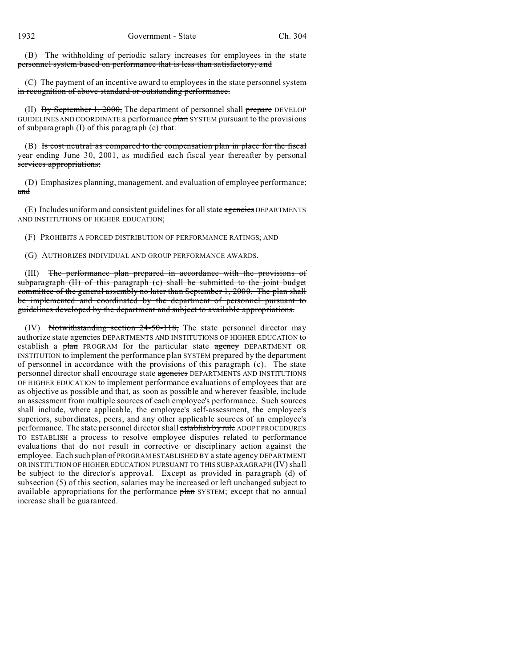(B) The withholding of periodic salary increases for employees in the state personnel system based on performance that is less than satisfactory; and

(C) The payment of an incentive award to employees in the state personnel system in recognition of above standard or outstanding performance.

(II) By September 1, 2000, The department of personnel shall prepare DEVELOP GUIDELINES AND COORDINATE a performance plan SYSTEM pursuant to the provisions of subparagraph (I) of this paragraph (c) that:

(B) Is cost neutral as compared to the compensation plan in place for the fiscal year ending June 30, 2001, as modified each fiscal year thereafter by personal services appropriations;

(D) Emphasizes planning, management, and evaluation of employee performance; and

(E) Includes uniform and consistent guidelines for all state agencies DEPARTMENTS AND INSTITUTIONS OF HIGHER EDUCATION;

(F) PROHIBITS A FORCED DISTRIBUTION OF PERFORMANCE RATINGS; AND

(G) AUTHORIZES INDIVIDUAL AND GROUP PERFORMANCE AWARDS.

(III) The performance plan prepared in accordance with the provisions of subparagraph (II) of this paragraph (c) shall be submitted to the joint budget committee of the general assembly no later than September 1, 2000. The plan shall be implemented and coordinated by the department of personnel pursuant to guidelines developed by the department and subject to available appropriations.

(IV) Notwithstanding section 24-50-118, The state personnel director may authorize state agencies DEPARTMENTS AND INSTITUTIONS OF HIGHER EDUCATION to establish a plan PROGRAM for the particular state agency DEPARTMENT OR INSTITUTION to implement the performance  $\frac{\partial \ln n}{\partial x}$  SYSTEM prepared by the department of personnel in accordance with the provisions of this paragraph (c). The state personnel director shall encourage state agencies DEPARTMENTS AND INSTITUTIONS OF HIGHER EDUCATION to implement performance evaluations of employees that are as objective as possible and that, as soon as possible and wherever feasible, include an assessment from multiple sources of each employee's performance. Such sources shall include, where applicable, the employee's self-assessment, the employee's superiors, subordinates, peers, and any other applicable sources of an employee's performance. The state personnel director shall establish by rule ADOPT PROCEDURES TO ESTABLISH a process to resolve employee disputes related to performance evaluations that do not result in corrective or disciplinary action against the employee. Each such plan of PROGRAM ESTABLISHED BY a state agency DEPARTMENT OR INSTITUTION OF HIGHER EDUCATION PURSUANT TO THIS SUBPARAGRAPH (IV) shall be subject to the director's approval. Except as provided in paragraph (d) of subsection (5) of this section, salaries may be increased or left unchanged subject to available appropriations for the performance plan SYSTEM; except that no annual increase shall be guaranteed.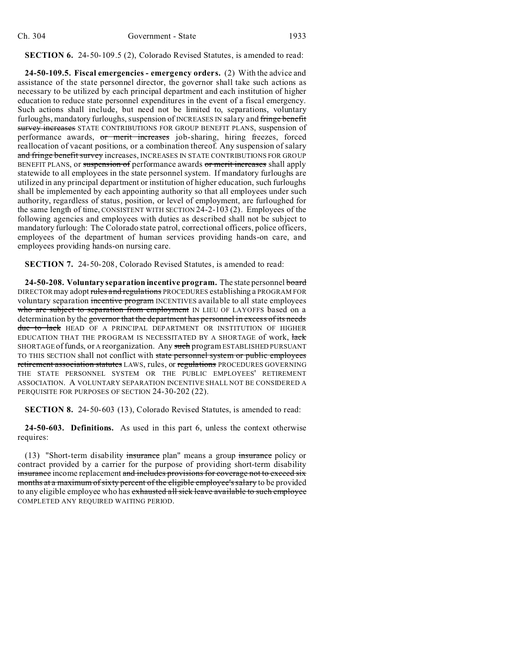## **SECTION 6.** 24-50-109.5 (2), Colorado Revised Statutes, is amended to read:

**24-50-109.5. Fiscal emergencies - emergency orders.** (2) With the advice and assistance of the state personnel director, the governor shall take such actions as necessary to be utilized by each principal department and each institution of higher education to reduce state personnel expenditures in the event of a fiscal emergency. Such actions shall include, but need not be limited to, separations, voluntary furloughs, mandatory furloughs, suspension of INCREASES IN salary and fringe benefit survey increases STATE CONTRIBUTIONS FOR GROUP BENEFIT PLANS, suspension of performance awards, or merit increases job-sharing, hiring freezes, forced reallocation of vacant positions, or a combination thereof. Any suspension of salary and fringe benefit survey increases, INCREASES IN STATE CONTRIBUTIONS FOR GROUP BENEFIT PLANS, or suspension of performance awards or merit increases shall apply statewide to all employees in the state personnel system. If mandatory furloughs are utilized in any principal department or institution of higher education, such furloughs shall be implemented by each appointing authority so that all employees under such authority, regardless of status, position, or level of employment, are furloughed for the same length of time, CONSISTENT WITH SECTION 24-2-103 (2). Employees of the following agencies and employees with duties as described shall not be subject to mandatory furlough: The Colorado state patrol, correctional officers, police officers, employees of the department of human services providing hands-on care, and employees providing hands-on nursing care.

**SECTION 7.** 24-50-208, Colorado Revised Statutes, is amended to read:

**24-50-208. Voluntary separation incentive program.** The state personnel board DIRECTOR may adopt rules and regulations PROCEDURES establishing a PROGRAM FOR voluntary separation incentive program INCENTIVES available to all state employees who are subject to separation from employment IN LIEU OF LAYOFFS based on a determination by the governor that the department has personnel in excess of its needs due to lack HEAD OF A PRINCIPAL DEPARTMENT OR INSTITUTION OF HIGHER EDUCATION THAT THE PROGRAM IS NECESSITATED BY A SHORTAGE of work, lack SHORTAGE of funds, or A reorganization. Any such program ESTABLISHED PURSUANT TO THIS SECTION shall not conflict with state personnel system or public employees retirement association statutes LAWS, rules, or regulations PROCEDURES GOVERNING THE STATE PERSONNEL SYSTEM OR THE PUBLIC EMPLOYEES' RETIREMENT ASSOCIATION. A VOLUNTARY SEPARATION INCENTIVE SHALL NOT BE CONSIDERED A PERQUISITE FOR PURPOSES OF SECTION 24-30-202 (22).

**SECTION 8.** 24-50-603 (13), Colorado Revised Statutes, is amended to read:

**24-50-603. Definitions.** As used in this part 6, unless the context otherwise requires:

(13) "Short-term disability insurance plan" means a group insurance policy or contract provided by a carrier for the purpose of providing short-term disability insurance income replacement and includes provisions for coverage not to exceed six months at a maximum of sixty percent of the eligible employee's salary to be provided to any eligible employee who has exhausted all sick leave available to such employee COMPLETED ANY REQUIRED WAITING PERIOD.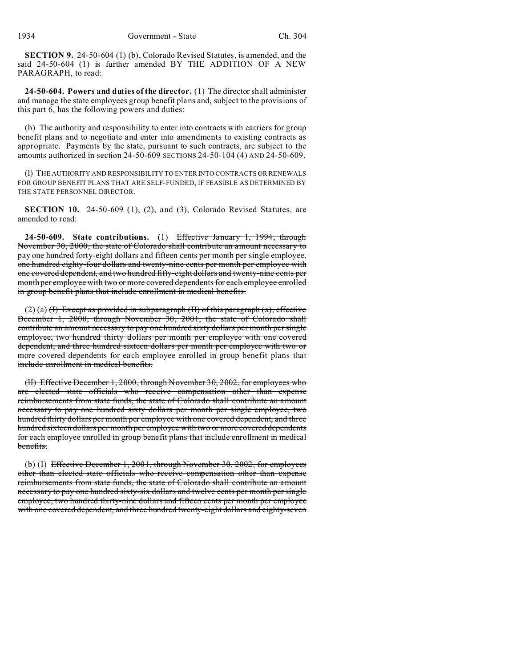**SECTION 9.** 24-50-604 (1) (b), Colorado Revised Statutes, is amended, and the said 24-50-604 (1) is further amended BY THE ADDITION OF A NEW PARAGRAPH, to read:

**24-50-604. Powers and duties of the director.** (1) The director shall administer and manage the state employees group benefit plans and, subject to the provisions of this part 6, has the following powers and duties:

(b) The authority and responsibility to enter into contracts with carriers for group benefit plans and to negotiate and enter into amendments to existing contracts as appropriate. Payments by the state, pursuant to such contracts, are subject to the amounts authorized in section 24-50-609 SECTIONS 24-50-104 (4) AND 24-50-609.

(l) THE AUTHORITY AND RESPONSIBILITY TO ENTER INTO CONTRACTS OR RENEWALS FOR GROUP BENEFIT PLANS THAT ARE SELF-FUNDED, IF FEASIBLE AS DETERMINED BY THE STATE PERSONNEL DIRECTOR.

**SECTION 10.** 24-50-609 (1), (2), and (3), Colorado Revised Statutes, are amended to read:

**24-50-609. State contributions.** (1) Effective January 1, 1994, through November 30, 2000, the state of Colorado shall contribute an amount necessary to pay one hundred forty-eight dollars and fifteen cents per month per single employee, one hundred eighty-four dollars and twenty-nine cents per month per employee with one covered dependent, and two hundred fifty-eight dollars and twenty-nine cents per month per employee with two or more covered dependents for each employee enrolled in group benefit plans that include enrollment in medical benefits.

(2) (a)  $(H)$  Except as provided in subparagraph (II) of this paragraph (a), effective December 1, 2000, through November 30, 2001, the state of Colorado shall contribute an amount necessary to pay one hundred sixty dollars per month per single employee, two hundred thirty dollars per month per employee with one covered dependent, and three hundred sixteen dollars per month per employee with two or more covered dependents for each employee enrolled in group benefit plans that include enrollment in medical benefits.

(II) Effective December 1, 2000, through November 30, 2002, for employees who are elected state officials who receive compensation other than expense reimbursements from state funds, the state of Colorado shall contribute an amount necessary to pay one hundred sixty dollars per month per single employee, two hundred thirty dollars per month per employee with one covered dependent, and three hundred sixteen dollars per month per employee with two or more covered dependents for each employee enrolled in group benefit plans that include enrollment in medical benefits.

(b) (I) Effective December 1, 2001, through November 30, 2002, for employees other than elected state officials who receive compensation other than expense reimbursements from state funds, the state of Colorado shall contribute an amount necessary to pay one hundred sixty-six dollars and twelve cents per month per single employee, two hundred thirty-nine dollars and fifteen cents per month per employee with one covered dependent, and three hundred twenty-eight dollars and eighty-seven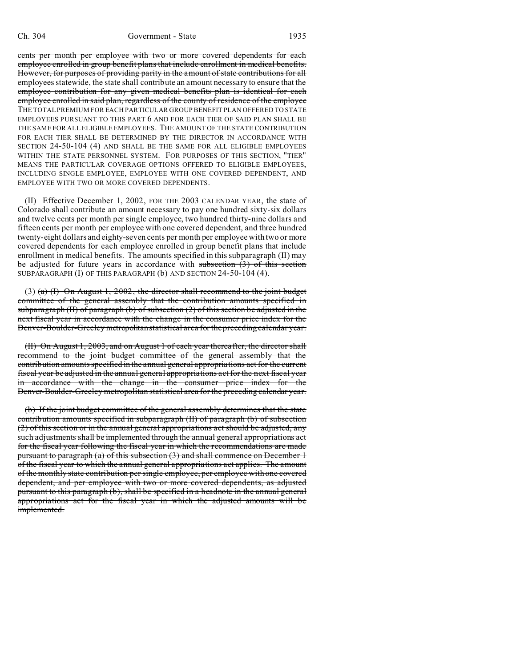cents per month per employee with two or more covered dependents for each employee enrolled in group benefit plans that include enrollment in medical benefits. However, for purposes of providing parity in the amount of state contributions for all employees statewide, the state shall contribute an amount necessary to ensure that the employee contribution for any given medical benefits plan is identical for each employee enrolled in said plan, regardless of the county of residence of the employee THE TOTAL PREMIUM FOR EACH PARTICULAR GROUP BENEFIT PLAN OFFERED TO STATE EMPLOYEES PURSUANT TO THIS PART 6 AND FOR EACH TIER OF SAID PLAN SHALL BE THE SAME FOR ALL ELIGIBLE EMPLOYEES. THE AMOUNT OF THE STATE CONTRIBUTION FOR EACH TIER SHALL BE DETERMINED BY THE DIRECTOR IN ACCORDANCE WITH SECTION 24-50-104 (4) AND SHALL BE THE SAME FOR ALL ELIGIBLE EMPLOYEES WITHIN THE STATE PERSONNEL SYSTEM. FOR PURPOSES OF THIS SECTION, "TIER" MEANS THE PARTICULAR COVERAGE OPTIONS OFFERED TO ELIGIBLE EMPLOYEES, INCLUDING SINGLE EMPLOYEE, EMPLOYEE WITH ONE COVERED DEPENDENT, AND EMPLOYEE WITH TWO OR MORE COVERED DEPENDENTS.

(II) Effective December 1, 2002, FOR THE 2003 CALENDAR YEAR, the state of Colorado shall contribute an amount necessary to pay one hundred sixty-six dollars and twelve cents per month per single employee, two hundred thirty-nine dollars and fifteen cents per month per employee with one covered dependent, and three hundred twenty-eight dollars and eighty-seven cents per month per employee with two or more covered dependents for each employee enrolled in group benefit plans that include enrollment in medical benefits. The amounts specified in this subparagraph (II) may be adjusted for future years in accordance with subsection  $(3)$  of this section SUBPARAGRAPH (I) OF THIS PARAGRAPH (b) AND SECTION 24-50-104 (4).

(3) (a) (I) On August 1, 2002, the director shall recommend to the joint budget committee of the general assembly that the contribution amounts specified in subparagraph (II) of paragraph (b) of subsection  $(2)$  of this section be adjusted in the next fiscal year in accordance with the change in the consumer price index for the Denver-Boulder-Greeley metropolitan statistical area for the preceding calendar year.

(II) On August 1, 2003, and on August 1 of each year thereafter, the director shall recommend to the joint budget committee of the general assembly that the contribution amounts specified in the annual general appropriations act for the current fiscal year be adjusted in the annual general appropriations act for the next fiscal year in accordance with the change in the consumer price index for the Denver-Boulder-Greeley metropolitan statistical area for the preceding calendar year.

(b) If the joint budget committee of the general assembly determines that the state contribution amounts specified in subparagraph (II) of paragraph (b) of subsection (2) of this section or in the annual general appropriations act should be adjusted, any such adjustments shall be implemented through the annual general appropriations act for the fiscal year following the fiscal year in which the recommendations are made pursuant to paragraph (a) of this subsection  $(3)$  and shall commence on December 1 of the fiscal year to which the annual general appropriations act applies. The amount of the monthly state contribution per single employee, per employee with one covered dependent, and per employee with two or more covered dependents, as adjusted pursuant to this paragraph (b), shall be specified in a headnote in the annual general appropriations act for the fiscal year in which the adjusted amounts will be implemented.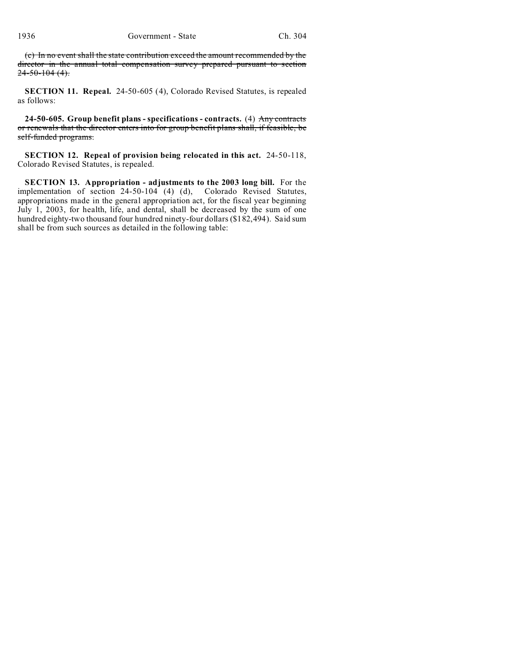(c) In no event shall the state contribution exceed the amount recommended by the director in the annual total compensation survey prepared pursuant to section  $24 - 50 - 104$  (4).

**SECTION 11. Repeal.** 24-50-605 (4), Colorado Revised Statutes, is repealed as follows:

**24-50-605. Group benefit plans - specifications - contracts.** (4) Any contracts or renewals that the director enters into for group benefit plans shall, if feasible, be self-funded programs.

**SECTION 12. Repeal of provision being relocated in this act.** 24-50-118, Colorado Revised Statutes, is repealed.

**SECTION 13. Appropriation - adjustments to the 2003 long bill.** For the implementation of section 24-50-104 (4) (d), Colorado Revised Statutes, appropriations made in the general appropriation act, for the fiscal year beginning July 1, 2003, for health, life, and dental, shall be decreased by the sum of one hundred eighty-two thousand four hundred ninety-four dollars (\$182,494). Said sum shall be from such sources as detailed in the following table: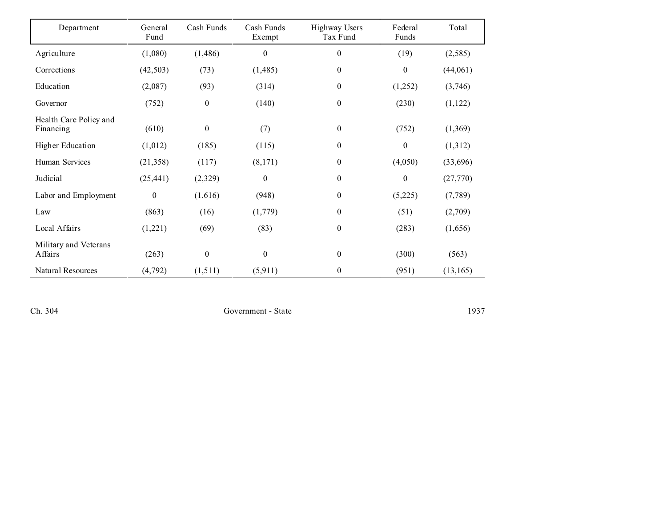| Department                          | General<br>Fund  | Cash Funds       | Cash Funds<br>Exempt | <b>Highway Users</b><br>Tax Fund | Federal<br>Funds | Total     |
|-------------------------------------|------------------|------------------|----------------------|----------------------------------|------------------|-----------|
| Agriculture                         | (1,080)          | (1, 486)         | $\boldsymbol{0}$     | $\mathbf{0}$                     | (19)             | (2,585)   |
| Corrections                         | (42, 503)        | (73)             | (1,485)              | $\bf{0}$                         | $\mathbf{0}$     | (44,061)  |
| Education                           | (2,087)          | (93)             | (314)                | $\boldsymbol{0}$                 | (1,252)          | (3,746)   |
| Governor                            | (752)            | $\boldsymbol{0}$ | (140)                | $\boldsymbol{0}$                 | (230)            | (1, 122)  |
| Health Care Policy and<br>Financing | (610)            | $\boldsymbol{0}$ | (7)                  | $\boldsymbol{0}$                 | (752)            | (1,369)   |
| <b>Higher Education</b>             | (1,012)          | (185)            | (115)                | $\theta$                         | $\mathbf{0}$     | (1,312)   |
| Human Services                      | (21, 358)        | (117)            | (8,171)              | $\boldsymbol{0}$                 | (4,050)          | (33,696)  |
| Judicial                            | (25, 441)        | (2,329)          | $\boldsymbol{0}$     | $\boldsymbol{0}$                 | $\boldsymbol{0}$ | (27,770)  |
| Labor and Employment                | $\boldsymbol{0}$ | (1,616)          | (948)                | $\boldsymbol{0}$                 | (5,225)          | (7,789)   |
| Law                                 | (863)            | (16)             | (1,779)              | $\boldsymbol{0}$                 | (51)             | (2,709)   |
| Local Affairs                       | (1,221)          | (69)             | (83)                 | $\boldsymbol{0}$                 | (283)            | (1,656)   |
| Military and Veterans<br>Affairs    | (263)            | $\boldsymbol{0}$ | $\boldsymbol{0}$     | $\boldsymbol{0}$                 | (300)            | (563)     |
| Natural Resources                   | (4, 792)         | (1,511)          | (5, 911)             | $\boldsymbol{0}$                 | (951)            | (13, 165) |

Ch. 304 Government - State 1937